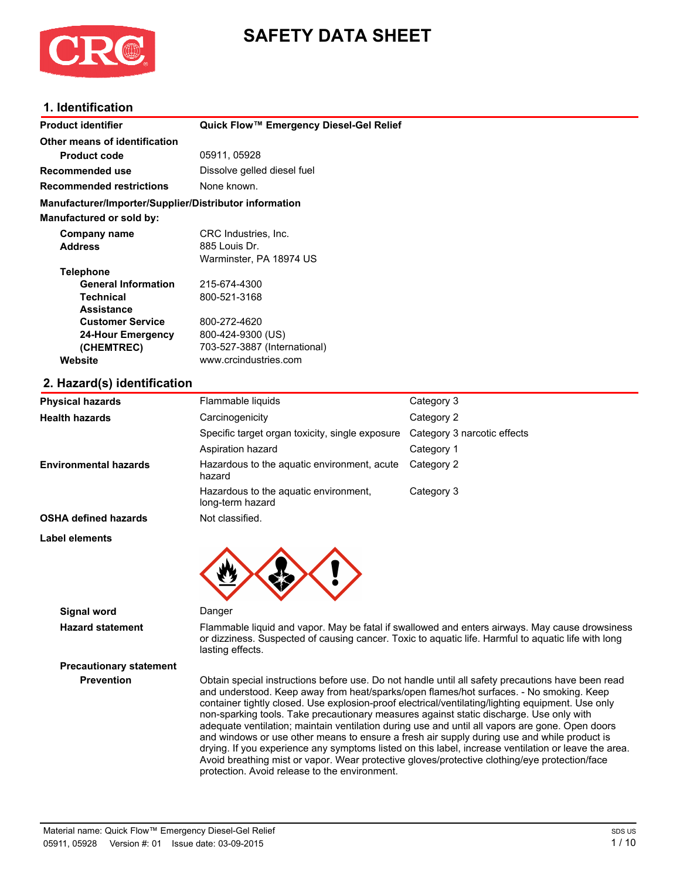

# **SAFETY DATA SHEET**

### **1. Identification**

| <b>Product identifier</b>                              | Quick Flow™ Emergency Diesel-Gel Relief |
|--------------------------------------------------------|-----------------------------------------|
| Other means of identification                          |                                         |
| <b>Product code</b>                                    | 05911, 05928                            |
| Recommended use                                        | Dissolve gelled diesel fuel             |
| <b>Recommended restrictions</b>                        | None known.                             |
| Manufacturer/Importer/Supplier/Distributor information |                                         |
| <b>Manufactured or sold by:</b>                        |                                         |
| Company name                                           | CRC Industries, Inc.                    |
| <b>Address</b>                                         | 885 Louis Dr.                           |
|                                                        | Warminster, PA 18974 US                 |
| <b>Telephone</b>                                       |                                         |
| <b>General Information</b>                             | 215-674-4300                            |
| <b>Technical</b>                                       | 800-521-3168                            |
| <b>Assistance</b>                                      |                                         |
| <b>Customer Service</b>                                | 800-272-4620                            |
| 24-Hour Emergency                                      | 800-424-9300 (US)                       |
| (CHEMTREC)                                             | 703-527-3887 (International)            |
| Website                                                | www.crcindustries.com                   |
| 2 Hazard(c) idontification                             |                                         |

### **2. Hazard(s) identification**

| <b>Physical hazards</b>      | Flammable liquids                                         | Category 3                  |
|------------------------------|-----------------------------------------------------------|-----------------------------|
| <b>Health hazards</b>        | Carcinogenicity                                           | Category 2                  |
|                              | Specific target organ toxicity, single exposure           | Category 3 narcotic effects |
|                              | Aspiration hazard                                         | Category 1                  |
| <b>Environmental hazards</b> | Hazardous to the aquatic environment, acute<br>hazard     | Category 2                  |
|                              | Hazardous to the aquatic environment,<br>long-term hazard | Category 3                  |
| <b>OSHA defined hazards</b>  | Not classified.                                           |                             |
| Label elements               |                                                           |                             |
| <b>Signal word</b>           | Danger                                                    |                             |

**Precautionary statement**

**Hazard statement** Flammable liquid and vapor. May be fatal if swallowed and enters airways. May cause drowsiness or dizziness. Suspected of causing cancer. Toxic to aquatic life. Harmful to aquatic life with long lasting effects.

**Prevention** Obtain special instructions before use. Do not handle until all safety precautions have been read and understood. Keep away from heat/sparks/open flames/hot surfaces. - No smoking. Keep container tightly closed. Use explosion-proof electrical/ventilating/lighting equipment. Use only non-sparking tools. Take precautionary measures against static discharge. Use only with adequate ventilation; maintain ventilation during use and until all vapors are gone. Open doors and windows or use other means to ensure a fresh air supply during use and while product is drying. If you experience any symptoms listed on this label, increase ventilation or leave the area. Avoid breathing mist or vapor. Wear protective gloves/protective clothing/eye protection/face protection. Avoid release to the environment.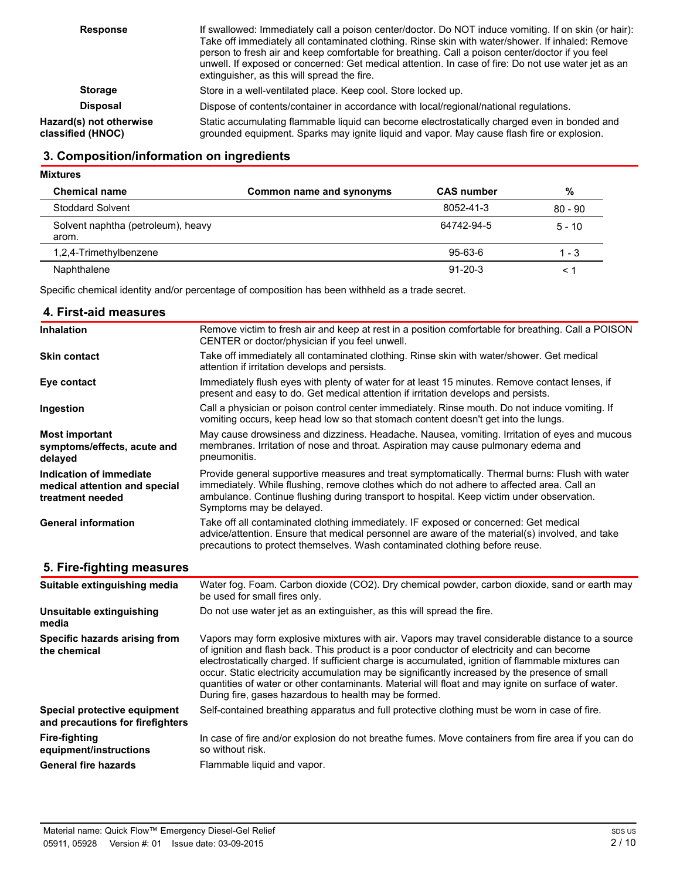| <b>Response</b>                              | If swallowed: Immediately call a poison center/doctor. Do NOT induce vomiting. If on skin (or hair):<br>Take off immediately all contaminated clothing. Rinse skin with water/shower. If inhaled: Remove<br>person to fresh air and keep comfortable for breathing. Call a poison center/doctor if you feel<br>unwell. If exposed or concerned: Get medical attention. In case of fire: Do not use water jet as an<br>extinguisher, as this will spread the fire. |
|----------------------------------------------|-------------------------------------------------------------------------------------------------------------------------------------------------------------------------------------------------------------------------------------------------------------------------------------------------------------------------------------------------------------------------------------------------------------------------------------------------------------------|
| <b>Storage</b>                               | Store in a well-ventilated place. Keep cool. Store locked up.                                                                                                                                                                                                                                                                                                                                                                                                     |
| <b>Disposal</b>                              | Dispose of contents/container in accordance with local/regional/national regulations.                                                                                                                                                                                                                                                                                                                                                                             |
| Hazard(s) not otherwise<br>classified (HNOC) | Static accumulating flammable liquid can become electrostatically charged even in bonded and<br>grounded equipment. Sparks may ignite liquid and vapor. May cause flash fire or explosion.                                                                                                                                                                                                                                                                        |

### **3. Composition/information on ingredients**

| <b>Mixtures</b>                             |                          |                   |           |
|---------------------------------------------|--------------------------|-------------------|-----------|
| <b>Chemical name</b>                        | Common name and synonyms | <b>CAS number</b> | %         |
| Stoddard Solvent                            |                          | 8052-41-3         | $80 - 90$ |
| Solvent naphtha (petroleum), heavy<br>arom. |                          | 64742-94-5        | $5 - 10$  |
| 1,2,4-Trimethylbenzene                      |                          | $95 - 63 - 6$     | $1 - 3$   |
| Naphthalene                                 |                          | $91 - 20 - 3$     | $\prec$ : |

Specific chemical identity and/or percentage of composition has been withheld as a trade secret.

#### **4. First-aid measures**

| <b>Inhalation</b>                                                            | Remove victim to fresh air and keep at rest in a position comfortable for breathing. Call a POISON<br>CENTER or doctor/physician if you feel unwell.                                                                                                                                                                                                                                                   |
|------------------------------------------------------------------------------|--------------------------------------------------------------------------------------------------------------------------------------------------------------------------------------------------------------------------------------------------------------------------------------------------------------------------------------------------------------------------------------------------------|
| <b>Skin contact</b>                                                          | Take off immediately all contaminated clothing. Rinse skin with water/shower. Get medical<br>attention if irritation develops and persists.                                                                                                                                                                                                                                                            |
| Eye contact                                                                  | Immediately flush eyes with plenty of water for at least 15 minutes. Remove contact lenses, if<br>present and easy to do. Get medical attention if irritation develops and persists.                                                                                                                                                                                                                   |
| Ingestion                                                                    | Call a physician or poison control center immediately. Rinse mouth. Do not induce vomiting. If<br>vomiting occurs, keep head low so that stomach content doesn't get into the lungs.                                                                                                                                                                                                                   |
| <b>Most important</b><br>symptoms/effects, acute and<br>delayed              | May cause drowsiness and dizziness. Headache. Nausea, vomiting. Irritation of eyes and mucous<br>membranes. Irritation of nose and throat. Aspiration may cause pulmonary edema and<br>pneumonitis.                                                                                                                                                                                                    |
| Indication of immediate<br>medical attention and special<br>treatment needed | Provide general supportive measures and treat symptomatically. Thermal burns: Flush with water<br>immediately. While flushing, remove clothes which do not adhere to affected area. Call an<br>ambulance. Continue flushing during transport to hospital. Keep victim under observation.<br>Symptoms may be delayed.                                                                                   |
| <b>General information</b>                                                   | Take off all contaminated clothing immediately. IF exposed or concerned: Get medical<br>advice/attention. Ensure that medical personnel are aware of the material(s) involved, and take<br>precautions to protect themselves. Wash contaminated clothing before reuse.                                                                                                                                 |
| 5. Fire-fighting measures                                                    |                                                                                                                                                                                                                                                                                                                                                                                                        |
| Suitable extinguishing media                                                 | Water fog. Foam. Carbon dioxide (CO2). Dry chemical powder, carbon dioxide, sand or earth may<br>be used for small fires only.                                                                                                                                                                                                                                                                         |
| Unsuitable extinguishing<br>media                                            | Do not use water jet as an extinguisher, as this will spread the fire.                                                                                                                                                                                                                                                                                                                                 |
| Specific hazards arising from<br>the chemical                                | Vapors may form explosive mixtures with air. Vapors may travel considerable distance to a source<br>of ignition and flash back. This product is a poor conductor of electricity and can become<br>electrostatically charged. If sufficient charge is accumulated, ignition of flammable mixtures can<br>occur. Static electricity accumulation may be significantly increased by the presence of small |

quantities of water or other contaminants. Material will float and may ignite on surface of water. During fire, gases hazardous to health may be formed. **Special protective equipment** Self-contained breathing apparatus and full protective clothing must be worn in case of fire.

**and precautions for firefighters Fire-fighting equipment/instructions** In case of fire and/or explosion do not breathe fumes. Move containers from fire area if you can do so without risk. General fire hazards Flammable liquid and vapor.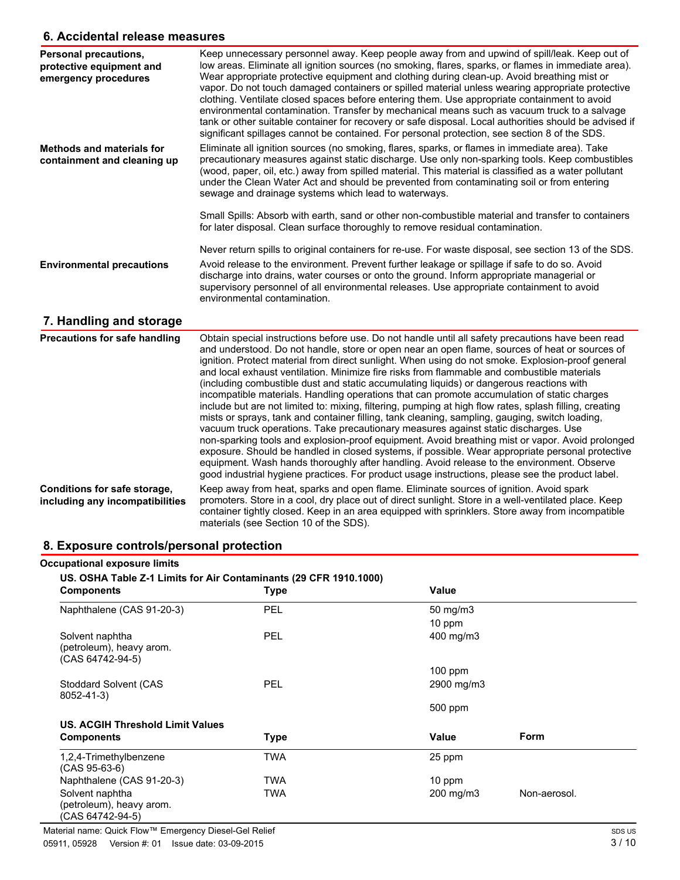### **6. Accidental release measures**

| Personal precautions,<br>protective equipment and<br>emergency procedures | Keep unnecessary personnel away. Keep people away from and upwind of spill/leak. Keep out of<br>low areas. Eliminate all ignition sources (no smoking, flares, sparks, or flames in immediate area).<br>Wear appropriate protective equipment and clothing during clean-up. Avoid breathing mist or<br>vapor. Do not touch damaged containers or spilled material unless wearing appropriate protective<br>clothing. Ventilate closed spaces before entering them. Use appropriate containment to avoid<br>environmental contamination. Transfer by mechanical means such as vacuum truck to a salvage<br>tank or other suitable container for recovery or safe disposal. Local authorities should be advised if<br>significant spillages cannot be contained. For personal protection, see section 8 of the SDS. |
|---------------------------------------------------------------------------|-------------------------------------------------------------------------------------------------------------------------------------------------------------------------------------------------------------------------------------------------------------------------------------------------------------------------------------------------------------------------------------------------------------------------------------------------------------------------------------------------------------------------------------------------------------------------------------------------------------------------------------------------------------------------------------------------------------------------------------------------------------------------------------------------------------------|
| <b>Methods and materials for</b><br>containment and cleaning up           | Eliminate all ignition sources (no smoking, flares, sparks, or flames in immediate area). Take<br>precautionary measures against static discharge. Use only non-sparking tools. Keep combustibles<br>(wood, paper, oil, etc.) away from spilled material. This material is classified as a water pollutant<br>under the Clean Water Act and should be prevented from contaminating soil or from entering<br>sewage and drainage systems which lead to waterways.                                                                                                                                                                                                                                                                                                                                                  |
| <b>Environmental precautions</b>                                          | Small Spills: Absorb with earth, sand or other non-combustible material and transfer to containers<br>for later disposal. Clean surface thoroughly to remove residual contamination.<br>Never return spills to original containers for re-use. For waste disposal, see section 13 of the SDS.<br>Avoid release to the environment. Prevent further leakage or spillage if safe to do so. Avoid<br>discharge into drains, water courses or onto the ground. Inform appropriate managerial or<br>supervisory personnel of all environmental releases. Use appropriate containment to avoid                                                                                                                                                                                                                          |
|                                                                           | environmental contamination.                                                                                                                                                                                                                                                                                                                                                                                                                                                                                                                                                                                                                                                                                                                                                                                      |

## **7. Handling and storage**

| <b>Precautions for safe handling</b>                            | Obtain special instructions before use. Do not handle until all safety precautions have been read<br>and understood. Do not handle, store or open near an open flame, sources of heat or sources of<br>ignition. Protect material from direct sunlight. When using do not smoke. Explosion-proof general<br>and local exhaust ventilation. Minimize fire risks from flammable and combustible materials<br>(including combustible dust and static accumulating liguids) or dangerous reactions with<br>incompatible materials. Handling operations that can promote accumulation of static charges<br>include but are not limited to: mixing, filtering, pumping at high flow rates, splash filling, creating<br>mists or sprays, tank and container filling, tank cleaning, sampling, gauging, switch loading,<br>vacuum truck operations. Take precautionary measures against static discharges. Use<br>non-sparking tools and explosion-proof equipment. Avoid breathing mist or vapor. Avoid prolonged<br>exposure. Should be handled in closed systems, if possible. Wear appropriate personal protective<br>equipment. Wash hands thoroughly after handling. Avoid release to the environment. Observe<br>good industrial hygiene practices. For product usage instructions, please see the product label. |
|-----------------------------------------------------------------|------------------------------------------------------------------------------------------------------------------------------------------------------------------------------------------------------------------------------------------------------------------------------------------------------------------------------------------------------------------------------------------------------------------------------------------------------------------------------------------------------------------------------------------------------------------------------------------------------------------------------------------------------------------------------------------------------------------------------------------------------------------------------------------------------------------------------------------------------------------------------------------------------------------------------------------------------------------------------------------------------------------------------------------------------------------------------------------------------------------------------------------------------------------------------------------------------------------------------------------------------------------------------------------------------------------|
| Conditions for safe storage,<br>including any incompatibilities | Keep away from heat, sparks and open flame. Eliminate sources of ignition. Avoid spark<br>promoters. Store in a cool, dry place out of direct sunlight. Store in a well-ventilated place. Keep<br>container tightly closed. Keep in an area equipped with sprinklers. Store away from incompatible<br>materials (see Section 10 of the SDS).                                                                                                                                                                                                                                                                                                                                                                                                                                                                                                                                                                                                                                                                                                                                                                                                                                                                                                                                                                     |

### **8. Exposure controls/personal protection**

| <b>Occupational exposure limits</b>                               |             |             |              |
|-------------------------------------------------------------------|-------------|-------------|--------------|
| US. OSHA Table Z-1 Limits for Air Contaminants (29 CFR 1910.1000) |             |             |              |
| <b>Components</b>                                                 | <b>Type</b> | Value       |              |
| Naphthalene (CAS 91-20-3)                                         | PEL         | 50 mg/m $3$ |              |
|                                                                   |             | 10 ppm      |              |
| Solvent naphtha<br>(petroleum), heavy arom.<br>(CAS 64742-94-5)   | PEL         | 400 mg/m3   |              |
|                                                                   |             | $100$ ppm   |              |
| Stoddard Solvent (CAS<br>8052-41-3)                               | PEL         | 2900 mg/m3  |              |
|                                                                   |             | 500 ppm     |              |
| US. ACGIH Threshold Limit Values                                  |             |             |              |
| <b>Components</b>                                                 | <b>Type</b> | Value       | Form         |
| 1,2,4-Trimethylbenzene<br>$(CAS 95-63-6)$                         | <b>TWA</b>  | 25 ppm      |              |
| Naphthalene (CAS 91-20-3)                                         | <b>TWA</b>  | 10 ppm      |              |
| Solvent naphtha<br>(petroleum), heavy arom.<br>(CAS 64742-94-5)   | <b>TWA</b>  | 200 mg/m3   | Non-aerosol. |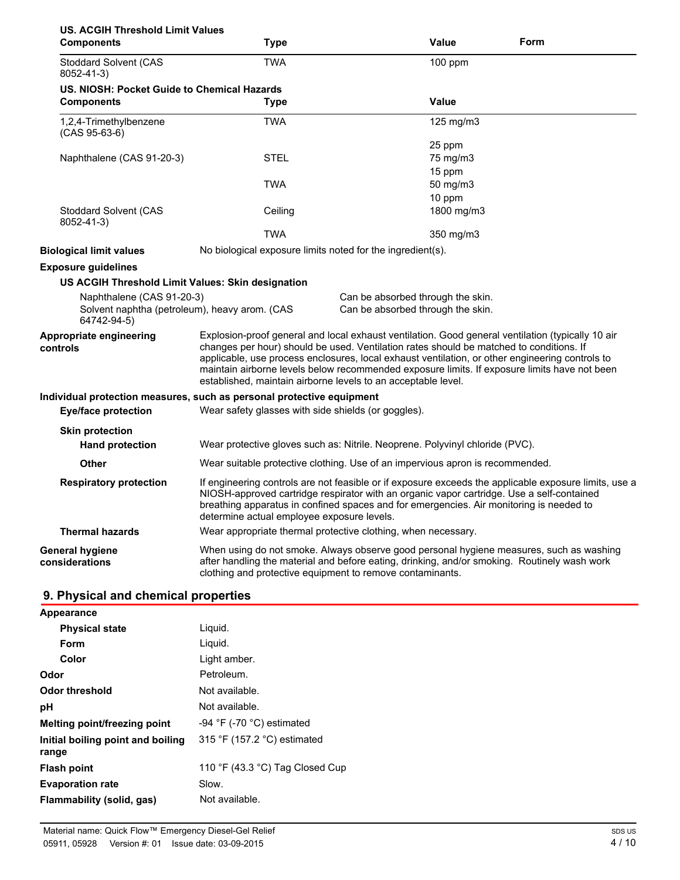| <b>US. ACGIH Threshold Limit Values</b><br><b>Components</b>                              | Type                                                                                                                                                                                                                                                                                                                                                                                                                                                             | <b>Value</b>                                                                                                                                                                                                                                         | Form |
|-------------------------------------------------------------------------------------------|------------------------------------------------------------------------------------------------------------------------------------------------------------------------------------------------------------------------------------------------------------------------------------------------------------------------------------------------------------------------------------------------------------------------------------------------------------------|------------------------------------------------------------------------------------------------------------------------------------------------------------------------------------------------------------------------------------------------------|------|
| <b>Stoddard Solvent (CAS</b>                                                              | <b>TWA</b>                                                                                                                                                                                                                                                                                                                                                                                                                                                       | 100 ppm                                                                                                                                                                                                                                              |      |
| 8052-41-3)                                                                                |                                                                                                                                                                                                                                                                                                                                                                                                                                                                  |                                                                                                                                                                                                                                                      |      |
| US. NIOSH: Pocket Guide to Chemical Hazards<br><b>Components</b>                          | <b>Type</b>                                                                                                                                                                                                                                                                                                                                                                                                                                                      | Value                                                                                                                                                                                                                                                |      |
| 1,2,4-Trimethylbenzene<br>$(CAS 95-63-6)$                                                 | <b>TWA</b>                                                                                                                                                                                                                                                                                                                                                                                                                                                       | 125 mg/m3                                                                                                                                                                                                                                            |      |
| Naphthalene (CAS 91-20-3)                                                                 | <b>STEL</b>                                                                                                                                                                                                                                                                                                                                                                                                                                                      | 25 ppm<br>75 mg/m3                                                                                                                                                                                                                                   |      |
|                                                                                           | <b>TWA</b>                                                                                                                                                                                                                                                                                                                                                                                                                                                       | 15 ppm<br>50 mg/m3<br>10 ppm                                                                                                                                                                                                                         |      |
| <b>Stoddard Solvent (CAS</b><br>8052-41-3)                                                | Ceiling                                                                                                                                                                                                                                                                                                                                                                                                                                                          | 1800 mg/m3                                                                                                                                                                                                                                           |      |
|                                                                                           | <b>TWA</b>                                                                                                                                                                                                                                                                                                                                                                                                                                                       | 350 mg/m3                                                                                                                                                                                                                                            |      |
| <b>Biological limit values</b>                                                            | No biological exposure limits noted for the ingredient(s).                                                                                                                                                                                                                                                                                                                                                                                                       |                                                                                                                                                                                                                                                      |      |
| <b>Exposure guidelines</b>                                                                |                                                                                                                                                                                                                                                                                                                                                                                                                                                                  |                                                                                                                                                                                                                                                      |      |
| US ACGIH Threshold Limit Values: Skin designation                                         |                                                                                                                                                                                                                                                                                                                                                                                                                                                                  |                                                                                                                                                                                                                                                      |      |
| Naphthalene (CAS 91-20-3)<br>Solvent naphtha (petroleum), heavy arom. (CAS<br>64742-94-5) |                                                                                                                                                                                                                                                                                                                                                                                                                                                                  | Can be absorbed through the skin.<br>Can be absorbed through the skin.                                                                                                                                                                               |      |
| Appropriate engineering<br>controls                                                       | Explosion-proof general and local exhaust ventilation. Good general ventilation (typically 10 air<br>changes per hour) should be used. Ventilation rates should be matched to conditions. If<br>applicable, use process enclosures, local exhaust ventilation, or other engineering controls to<br>maintain airborne levels below recommended exposure limits. If exposure limits have not been<br>established, maintain airborne levels to an acceptable level. |                                                                                                                                                                                                                                                      |      |
| <b>Eye/face protection</b>                                                                | Individual protection measures, such as personal protective equipment<br>Wear safety glasses with side shields (or goggles).                                                                                                                                                                                                                                                                                                                                     |                                                                                                                                                                                                                                                      |      |
| <b>Skin protection</b><br><b>Hand protection</b>                                          |                                                                                                                                                                                                                                                                                                                                                                                                                                                                  | Wear protective gloves such as: Nitrile. Neoprene. Polyvinyl chloride (PVC).                                                                                                                                                                         |      |
| Other                                                                                     |                                                                                                                                                                                                                                                                                                                                                                                                                                                                  | Wear suitable protective clothing. Use of an impervious apron is recommended.                                                                                                                                                                        |      |
| <b>Respiratory protection</b>                                                             | If engineering controls are not feasible or if exposure exceeds the applicable exposure limits, use a<br>NIOSH-approved cartridge respirator with an organic vapor cartridge. Use a self-contained<br>breathing apparatus in confined spaces and for emergencies. Air monitoring is needed to<br>determine actual employee exposure levels.                                                                                                                      |                                                                                                                                                                                                                                                      |      |
| <b>Thermal hazards</b>                                                                    | Wear appropriate thermal protective clothing, when necessary.                                                                                                                                                                                                                                                                                                                                                                                                    |                                                                                                                                                                                                                                                      |      |
| <b>General hygiene</b><br>considerations                                                  |                                                                                                                                                                                                                                                                                                                                                                                                                                                                  | When using do not smoke. Always observe good personal hygiene measures, such as washing<br>after handling the material and before eating, drinking, and/or smoking. Routinely wash work<br>clothing and protective equipment to remove contaminants. |      |

## **9. Physical and chemical properties**

| <b>Appearance</b>                          |                                             |
|--------------------------------------------|---------------------------------------------|
| <b>Physical state</b>                      | Liquid.                                     |
| Form                                       | Liquid.                                     |
| Color                                      | Light amber.                                |
| Odor                                       | Petroleum.                                  |
| Odor threshold                             | Not available.                              |
| рH                                         | Not available.                              |
| Melting point/freezing point               | -94 $\degree$ F (-70 $\degree$ C) estimated |
| Initial boiling point and boiling<br>range | 315 °F (157.2 °C) estimated                 |
| <b>Flash point</b>                         | 110 °F (43.3 °C) Tag Closed Cup             |
| <b>Evaporation rate</b>                    | Slow.                                       |
| Flammability (solid, gas)                  | Not available.                              |
|                                            |                                             |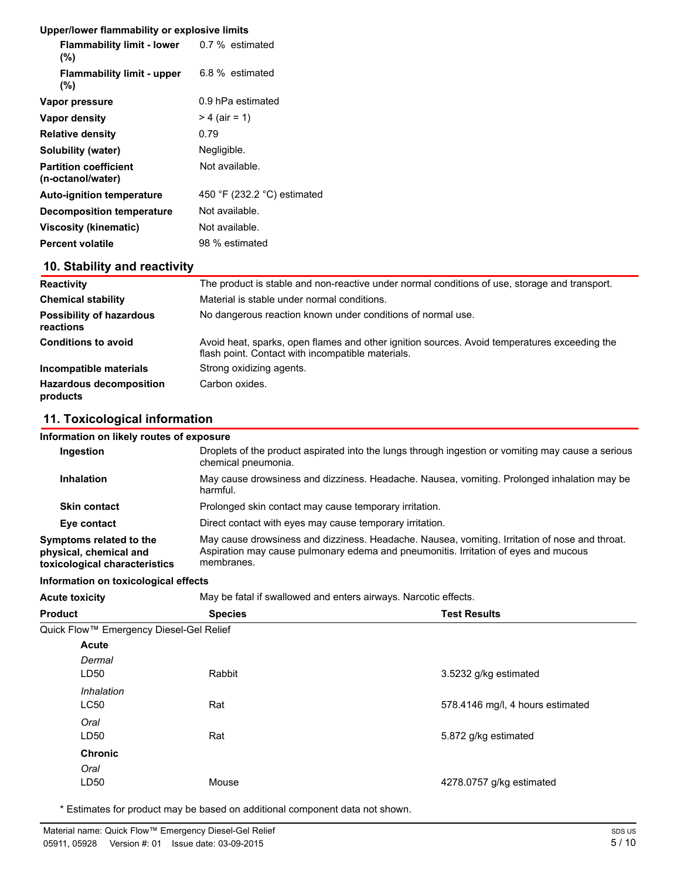| Upper/lower flammability or explosive limits |  |
|----------------------------------------------|--|
|----------------------------------------------|--|

| $\sim$                                            |
|---------------------------------------------------|
| <b>Flammability limit - lower</b> 0.7 % estimated |
| 6.8 % estimated                                   |
| 0.9 hPa estimated                                 |
| $> 4$ (air = 1)                                   |
| 0.79                                              |
| Negligible.                                       |
| Not available.                                    |
| 450 °F (232.2 °C) estimated                       |
| Not available.                                    |
| Not available.                                    |
| 98 % estimated                                    |
|                                                   |

## **10. Stability and reactivity**

| <b>Reactivity</b>                            | The product is stable and non-reactive under normal conditions of use, storage and transport.                                                     |  |
|----------------------------------------------|---------------------------------------------------------------------------------------------------------------------------------------------------|--|
| <b>Chemical stability</b>                    | Material is stable under normal conditions.                                                                                                       |  |
| <b>Possibility of hazardous</b><br>reactions | No dangerous reaction known under conditions of normal use.                                                                                       |  |
| <b>Conditions to avoid</b>                   | Avoid heat, sparks, open flames and other ignition sources. Avoid temperatures exceeding the<br>flash point. Contact with incompatible materials. |  |
| Incompatible materials                       | Strong oxidizing agents.                                                                                                                          |  |
| <b>Hazardous decomposition</b><br>products   | Carbon oxides.                                                                                                                                    |  |

## **11. Toxicological information**

| Information on likely routes of exposure                                           |                                                                                                                                                                                                     |  |
|------------------------------------------------------------------------------------|-----------------------------------------------------------------------------------------------------------------------------------------------------------------------------------------------------|--|
| Ingestion                                                                          | Droplets of the product aspirated into the lungs through ingestion or vomiting may cause a serious<br>chemical pneumonia.                                                                           |  |
| <b>Inhalation</b>                                                                  | May cause drowsiness and dizziness. Headache. Nausea, vomiting. Prolonged inhalation may be<br>harmful.                                                                                             |  |
| <b>Skin contact</b>                                                                | Prolonged skin contact may cause temporary irritation.                                                                                                                                              |  |
| Eye contact                                                                        | Direct contact with eyes may cause temporary irritation.                                                                                                                                            |  |
| Symptoms related to the<br>physical, chemical and<br>toxicological characteristics | May cause drowsiness and dizziness. Headache. Nausea, vomiting. Irritation of nose and throat.<br>Aspiration may cause pulmonary edema and pneumonitis. Irritation of eyes and mucous<br>membranes. |  |

**Information on toxicological effects**

| information on toxicological effects    |                                                                 |                                  |  |
|-----------------------------------------|-----------------------------------------------------------------|----------------------------------|--|
| <b>Acute toxicity</b>                   | May be fatal if swallowed and enters airways. Narcotic effects. |                                  |  |
| Product                                 | <b>Species</b>                                                  | <b>Test Results</b>              |  |
| Quick Flow™ Emergency Diesel-Gel Relief |                                                                 |                                  |  |
| <b>Acute</b>                            |                                                                 |                                  |  |
| Dermal<br>LD50                          | Rabbit                                                          | 3.5232 g/kg estimated            |  |
| Inhalation<br><b>LC50</b>               | Rat                                                             | 578.4146 mg/l, 4 hours estimated |  |
| Oral<br>LD50                            | Rat                                                             | 5.872 g/kg estimated             |  |
| <b>Chronic</b><br>Oral                  |                                                                 |                                  |  |

\* Estimates for product may be based on additional component data not shown.

LD50 Mouse

4278.0757 g/kg estimated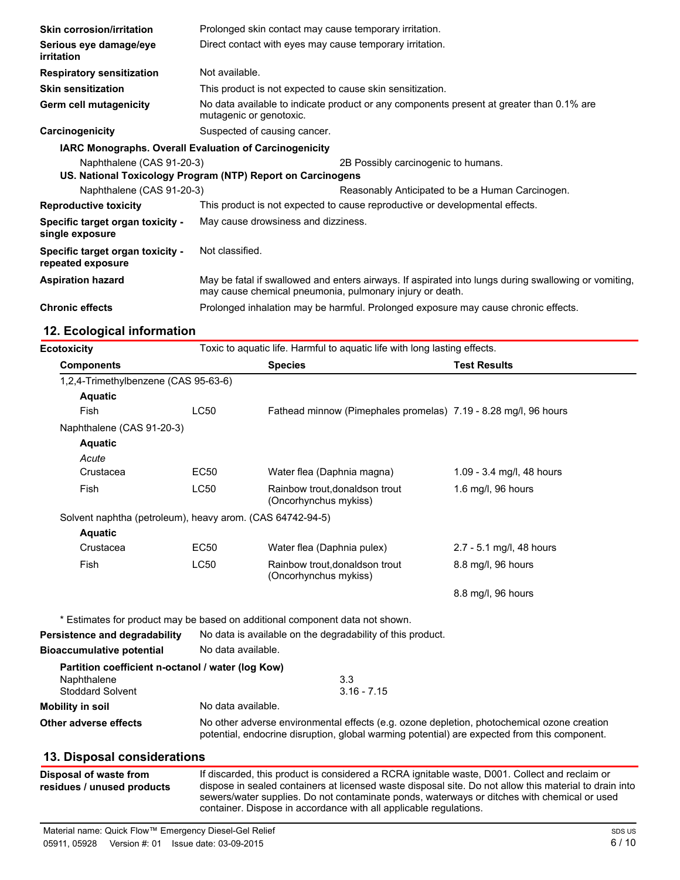| <b>Skin corrosion/irritation</b>                              | Prolonged skin contact may cause temporary irritation.                                                                                                           |                                                                                    |  |
|---------------------------------------------------------------|------------------------------------------------------------------------------------------------------------------------------------------------------------------|------------------------------------------------------------------------------------|--|
| Serious eye damage/eye<br>irritation                          | Direct contact with eyes may cause temporary irritation.                                                                                                         |                                                                                    |  |
| <b>Respiratory sensitization</b>                              | Not available.                                                                                                                                                   |                                                                                    |  |
| <b>Skin sensitization</b>                                     | This product is not expected to cause skin sensitization.                                                                                                        |                                                                                    |  |
| <b>Germ cell mutagenicity</b>                                 | No data available to indicate product or any components present at greater than 0.1% are<br>mutagenic or genotoxic.                                              |                                                                                    |  |
| Carcinogenicity                                               | Suspected of causing cancer.                                                                                                                                     |                                                                                    |  |
| <b>IARC Monographs. Overall Evaluation of Carcinogenicity</b> |                                                                                                                                                                  |                                                                                    |  |
| Naphthalene (CAS 91-20-3)                                     | US. National Toxicology Program (NTP) Report on Carcinogens                                                                                                      | 2B Possibly carcinogenic to humans.                                                |  |
| Naphthalene (CAS 91-20-3)                                     |                                                                                                                                                                  | Reasonably Anticipated to be a Human Carcinogen.                                   |  |
| <b>Reproductive toxicity</b>                                  | This product is not expected to cause reproductive or developmental effects.                                                                                     |                                                                                    |  |
| Specific target organ toxicity -<br>single exposure           | May cause drowsiness and dizziness.                                                                                                                              |                                                                                    |  |
| Specific target organ toxicity -<br>repeated exposure         | Not classified.                                                                                                                                                  |                                                                                    |  |
| <b>Aspiration hazard</b>                                      | May be fatal if swallowed and enters airways. If aspirated into lungs during swallowing or vomiting,<br>may cause chemical pneumonia, pulmonary injury or death. |                                                                                    |  |
| <b>Chronic effects</b>                                        |                                                                                                                                                                  | Prolonged inhalation may be harmful. Prolonged exposure may cause chronic effects. |  |
| 12. Ecological information                                    |                                                                                                                                                                  |                                                                                    |  |

| <b>Ecotoxicity</b>                                        | Toxic to aquatic life. Harmful to aquatic life with long lasting effects.                                                                                                                                                                                                                              |                                                                              |                           |
|-----------------------------------------------------------|--------------------------------------------------------------------------------------------------------------------------------------------------------------------------------------------------------------------------------------------------------------------------------------------------------|------------------------------------------------------------------------------|---------------------------|
| <b>Components</b>                                         |                                                                                                                                                                                                                                                                                                        | <b>Species</b>                                                               | <b>Test Results</b>       |
| 1,2,4-Trimethylbenzene (CAS 95-63-6)                      |                                                                                                                                                                                                                                                                                                        |                                                                              |                           |
| <b>Aquatic</b>                                            |                                                                                                                                                                                                                                                                                                        |                                                                              |                           |
| Fish                                                      | <b>LC50</b>                                                                                                                                                                                                                                                                                            | Fathead minnow (Pimephales promelas) 7.19 - 8.28 mg/l, 96 hours              |                           |
| Naphthalene (CAS 91-20-3)                                 |                                                                                                                                                                                                                                                                                                        |                                                                              |                           |
| <b>Aquatic</b>                                            |                                                                                                                                                                                                                                                                                                        |                                                                              |                           |
| Acute                                                     |                                                                                                                                                                                                                                                                                                        |                                                                              |                           |
| Crustacea                                                 | EC50                                                                                                                                                                                                                                                                                                   | Water flea (Daphnia magna)                                                   | 1.09 - 3.4 mg/l, 48 hours |
| Fish                                                      | <b>LC50</b>                                                                                                                                                                                                                                                                                            | Rainbow trout, donaldson trout<br>(Oncorhynchus mykiss)                      | 1.6 mg/l, 96 hours        |
| Solvent naphtha (petroleum), heavy arom. (CAS 64742-94-5) |                                                                                                                                                                                                                                                                                                        |                                                                              |                           |
| <b>Aquatic</b>                                            |                                                                                                                                                                                                                                                                                                        |                                                                              |                           |
| Crustacea                                                 | EC50                                                                                                                                                                                                                                                                                                   | Water flea (Daphnia pulex)                                                   | 2.7 - 5.1 mg/l, 48 hours  |
| Fish                                                      | <b>LC50</b>                                                                                                                                                                                                                                                                                            | Rainbow trout, donaldson trout<br>(Oncorhynchus mykiss)                      | 8.8 mg/l, 96 hours        |
|                                                           |                                                                                                                                                                                                                                                                                                        |                                                                              | 8.8 mg/l, 96 hours        |
|                                                           |                                                                                                                                                                                                                                                                                                        | * Estimates for product may be based on additional component data not shown. |                           |
| Persistence and degradability                             |                                                                                                                                                                                                                                                                                                        | No data is available on the degradability of this product.                   |                           |
| <b>Bioaccumulative potential</b>                          | No data available.                                                                                                                                                                                                                                                                                     |                                                                              |                           |
| Partition coefficient n-octanol / water (log Kow)         |                                                                                                                                                                                                                                                                                                        |                                                                              |                           |
| Naphthalene                                               | 3.3                                                                                                                                                                                                                                                                                                    |                                                                              |                           |
| <b>Stoddard Solvent</b>                                   | $3.16 - 7.15$                                                                                                                                                                                                                                                                                          |                                                                              |                           |
| <b>Mobility in soil</b>                                   | No data available.                                                                                                                                                                                                                                                                                     |                                                                              |                           |
| <b>Other adverse effects</b>                              | No other adverse environmental effects (e.g. ozone depletion, photochemical ozone creation<br>potential, endocrine disruption, global warming potential) are expected from this component.                                                                                                             |                                                                              |                           |
| 13. Disposal considerations                               |                                                                                                                                                                                                                                                                                                        |                                                                              |                           |
| Disposal of waste from<br>residues / unused products      | If discarded, this product is considered a RCRA ignitable waste, D001. Collect and reclaim or<br>dispose in sealed containers at licensed waste disposal site. Do not allow this material to drain into<br>sewers/water supplies. Do not contaminate ponds, waterways or ditches with chemical or used |                                                                              |                           |

container. Dispose in accordance with all applicable regulations.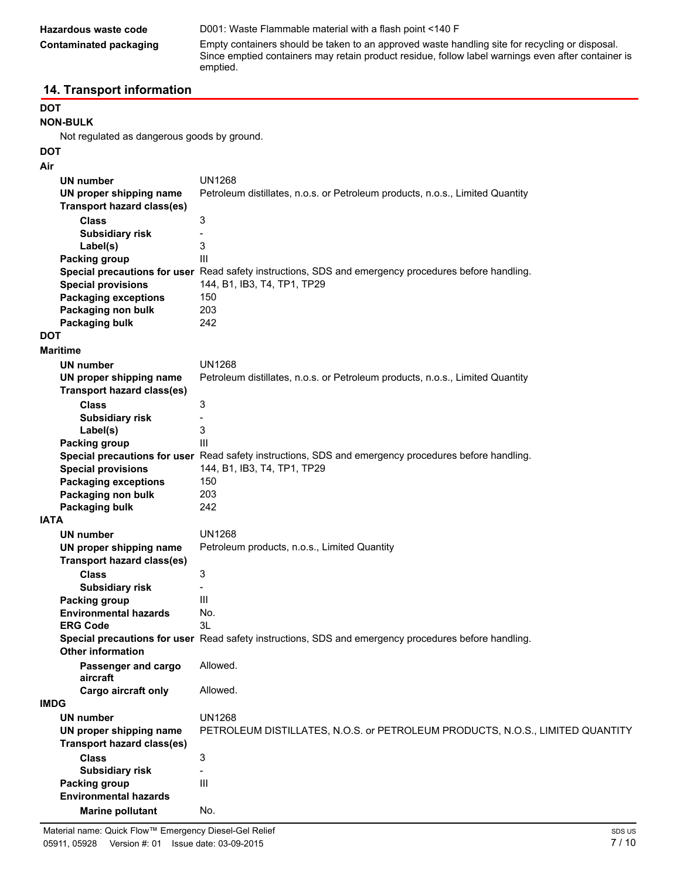| Hazardous waste code   | D001: Waste Flammable material with a flash point <140 F                                                                                                                                                         |  |
|------------------------|------------------------------------------------------------------------------------------------------------------------------------------------------------------------------------------------------------------|--|
| Contaminated packaging | Empty containers should be taken to an approved waste handling site for recycling or disposal.<br>Since emptied containers may retain product residue, follow label warnings even after container is<br>emptied. |  |

## **14. Transport information**

## **DOT**

**NON-BULK**

Not regulated as dangerous goods by ground.

### **DOT Air**

|             | <b>UN number</b>                  | <b>UN1268</b>                                                                                        |
|-------------|-----------------------------------|------------------------------------------------------------------------------------------------------|
|             | UN proper shipping name           | Petroleum distillates, n.o.s. or Petroleum products, n.o.s., Limited Quantity                        |
|             | <b>Transport hazard class(es)</b> |                                                                                                      |
|             | <b>Class</b>                      | 3                                                                                                    |
|             | <b>Subsidiary risk</b>            |                                                                                                      |
|             | Label(s)                          | 3                                                                                                    |
|             | Packing group                     | Ш                                                                                                    |
|             |                                   | Special precautions for user Read safety instructions, SDS and emergency procedures before handling. |
|             | <b>Special provisions</b>         | 144, B1, IB3, T4, TP1, TP29                                                                          |
|             | <b>Packaging exceptions</b>       | 150                                                                                                  |
|             | Packaging non bulk                | 203                                                                                                  |
|             | Packaging bulk                    | 242                                                                                                  |
| <b>DOT</b>  |                                   |                                                                                                      |
|             | <b>Maritime</b>                   |                                                                                                      |
|             | UN number                         | <b>UN1268</b>                                                                                        |
|             | UN proper shipping name           | Petroleum distillates, n.o.s. or Petroleum products, n.o.s., Limited Quantity                        |
|             | <b>Transport hazard class(es)</b> |                                                                                                      |
|             | <b>Class</b>                      | 3                                                                                                    |
|             | <b>Subsidiary risk</b>            |                                                                                                      |
|             | Label(s)                          | 3                                                                                                    |
|             | Packing group                     | $\mathsf{III}$                                                                                       |
|             |                                   | Special precautions for user Read safety instructions, SDS and emergency procedures before handling. |
|             | <b>Special provisions</b>         | 144, B1, IB3, T4, TP1, TP29                                                                          |
|             | <b>Packaging exceptions</b>       | 150                                                                                                  |
|             | Packaging non bulk                | 203                                                                                                  |
|             | <b>Packaging bulk</b>             | 242                                                                                                  |
| <b>IATA</b> |                                   |                                                                                                      |
|             | <b>UN number</b>                  | <b>UN1268</b>                                                                                        |
|             | UN proper shipping name           | Petroleum products, n.o.s., Limited Quantity                                                         |
|             | Transport hazard class(es)        |                                                                                                      |
|             | <b>Class</b>                      | 3                                                                                                    |
|             | <b>Subsidiary risk</b>            |                                                                                                      |
|             | Packing group                     | Ш                                                                                                    |
|             | <b>Environmental hazards</b>      | No.                                                                                                  |
|             | <b>ERG Code</b>                   | 3L                                                                                                   |
|             | <b>Other information</b>          | Special precautions for user Read safety instructions, SDS and emergency procedures before handling. |
|             | Passenger and cargo<br>aircraft   | Allowed                                                                                              |
|             | Cargo aircraft only               | Allowed.                                                                                             |
| <b>IMDG</b> |                                   |                                                                                                      |
|             | <b>UN number</b>                  | <b>UN1268</b>                                                                                        |
|             | UN proper shipping name           | PETROLEUM DISTILLATES, N.O.S. or PETROLEUM PRODUCTS, N.O.S., LIMITED QUANTITY                        |
|             | <b>Transport hazard class(es)</b> |                                                                                                      |
|             | <b>Class</b>                      | 3                                                                                                    |
|             | <b>Subsidiary risk</b>            |                                                                                                      |
|             | Packing group                     | $\mathbf{III}$                                                                                       |
|             | <b>Environmental hazards</b>      |                                                                                                      |
|             | <b>Marine pollutant</b>           | No.                                                                                                  |
|             |                                   |                                                                                                      |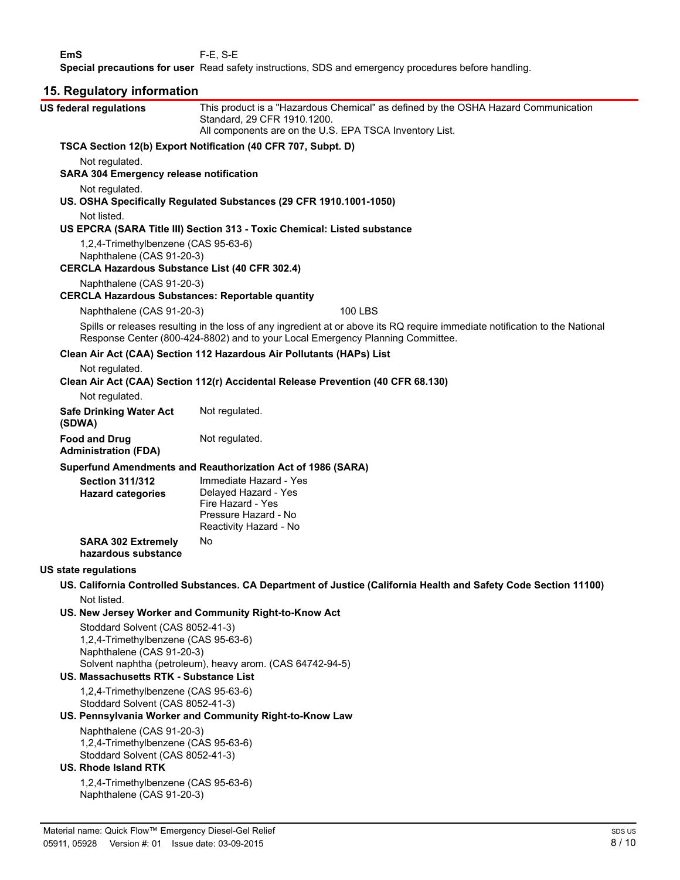**EmS** F-E, S-E **Special precautions for user** Read safety instructions, SDS and emergency procedures before handling.

| 15. Regulatory information                                                                                                                                                                                                                                                                                                                                                                                                               |                                                                                                                                                                                                                |  |  |
|------------------------------------------------------------------------------------------------------------------------------------------------------------------------------------------------------------------------------------------------------------------------------------------------------------------------------------------------------------------------------------------------------------------------------------------|----------------------------------------------------------------------------------------------------------------------------------------------------------------------------------------------------------------|--|--|
| <b>US federal regulations</b>                                                                                                                                                                                                                                                                                                                                                                                                            | This product is a "Hazardous Chemical" as defined by the OSHA Hazard Communication<br>Standard, 29 CFR 1910.1200.<br>All components are on the U.S. EPA TSCA Inventory List.                                   |  |  |
|                                                                                                                                                                                                                                                                                                                                                                                                                                          | TSCA Section 12(b) Export Notification (40 CFR 707, Subpt. D)                                                                                                                                                  |  |  |
| Not regulated.                                                                                                                                                                                                                                                                                                                                                                                                                           | <b>SARA 304 Emergency release notification</b>                                                                                                                                                                 |  |  |
| Not regulated.                                                                                                                                                                                                                                                                                                                                                                                                                           | US. OSHA Specifically Regulated Substances (29 CFR 1910.1001-1050)                                                                                                                                             |  |  |
| Not listed.                                                                                                                                                                                                                                                                                                                                                                                                                              | US EPCRA (SARA Title III) Section 313 - Toxic Chemical: Listed substance                                                                                                                                       |  |  |
| 1,2,4-Trimethylbenzene (CAS 95-63-6)<br>Naphthalene (CAS 91-20-3)<br><b>CERCLA Hazardous Substance List (40 CFR 302.4)</b>                                                                                                                                                                                                                                                                                                               |                                                                                                                                                                                                                |  |  |
| Naphthalene (CAS 91-20-3)<br><b>CERCLA Hazardous Substances: Reportable quantity</b>                                                                                                                                                                                                                                                                                                                                                     |                                                                                                                                                                                                                |  |  |
| Naphthalene (CAS 91-20-3)                                                                                                                                                                                                                                                                                                                                                                                                                | <b>100 LBS</b>                                                                                                                                                                                                 |  |  |
|                                                                                                                                                                                                                                                                                                                                                                                                                                          | Spills or releases resulting in the loss of any ingredient at or above its RQ require immediate notification to the National<br>Response Center (800-424-8802) and to your Local Emergency Planning Committee. |  |  |
|                                                                                                                                                                                                                                                                                                                                                                                                                                          | Clean Air Act (CAA) Section 112 Hazardous Air Pollutants (HAPs) List                                                                                                                                           |  |  |
| Not regulated.                                                                                                                                                                                                                                                                                                                                                                                                                           | Clean Air Act (CAA) Section 112(r) Accidental Release Prevention (40 CFR 68.130)                                                                                                                               |  |  |
| Not regulated.                                                                                                                                                                                                                                                                                                                                                                                                                           |                                                                                                                                                                                                                |  |  |
| <b>Safe Drinking Water Act</b><br>(SDWA)                                                                                                                                                                                                                                                                                                                                                                                                 | Not regulated.                                                                                                                                                                                                 |  |  |
| <b>Food and Drug</b><br><b>Administration (FDA)</b>                                                                                                                                                                                                                                                                                                                                                                                      | Not regulated.                                                                                                                                                                                                 |  |  |
| <b>Section 311/312</b><br><b>Hazard categories</b>                                                                                                                                                                                                                                                                                                                                                                                       | Superfund Amendments and Reauthorization Act of 1986 (SARA)<br>Immediate Hazard - Yes<br>Delayed Hazard - Yes<br>Fire Hazard - Yes<br>Pressure Hazard - No<br>Reactivity Hazard - No                           |  |  |
| <b>SARA 302 Extremely</b><br>hazardous substance                                                                                                                                                                                                                                                                                                                                                                                         | No                                                                                                                                                                                                             |  |  |
| <b>US state regulations</b>                                                                                                                                                                                                                                                                                                                                                                                                              |                                                                                                                                                                                                                |  |  |
| Not listed.                                                                                                                                                                                                                                                                                                                                                                                                                              | US. California Controlled Substances. CA Department of Justice (California Health and Safety Code Section 11100)                                                                                               |  |  |
| Stoddard Solvent (CAS 8052-41-3)<br>1,2,4-Trimethylbenzene (CAS 95-63-6)<br>Naphthalene (CAS 91-20-3)<br>US. Massachusetts RTK - Substance List<br>1,2,4-Trimethylbenzene (CAS 95-63-6)<br>Stoddard Solvent (CAS 8052-41-3)<br>Naphthalene (CAS 91-20-3)<br>1,2,4-Trimethylbenzene (CAS 95-63-6)<br>Stoddard Solvent (CAS 8052-41-3)<br><b>US. Rhode Island RTK</b><br>1,2,4-Trimethylbenzene (CAS 95-63-6)<br>Naphthalene (CAS 91-20-3) | US. New Jersey Worker and Community Right-to-Know Act<br>Solvent naphtha (petroleum), heavy arom. (CAS 64742-94-5)<br>US. Pennsylvania Worker and Community Right-to-Know Law                                  |  |  |
|                                                                                                                                                                                                                                                                                                                                                                                                                                          |                                                                                                                                                                                                                |  |  |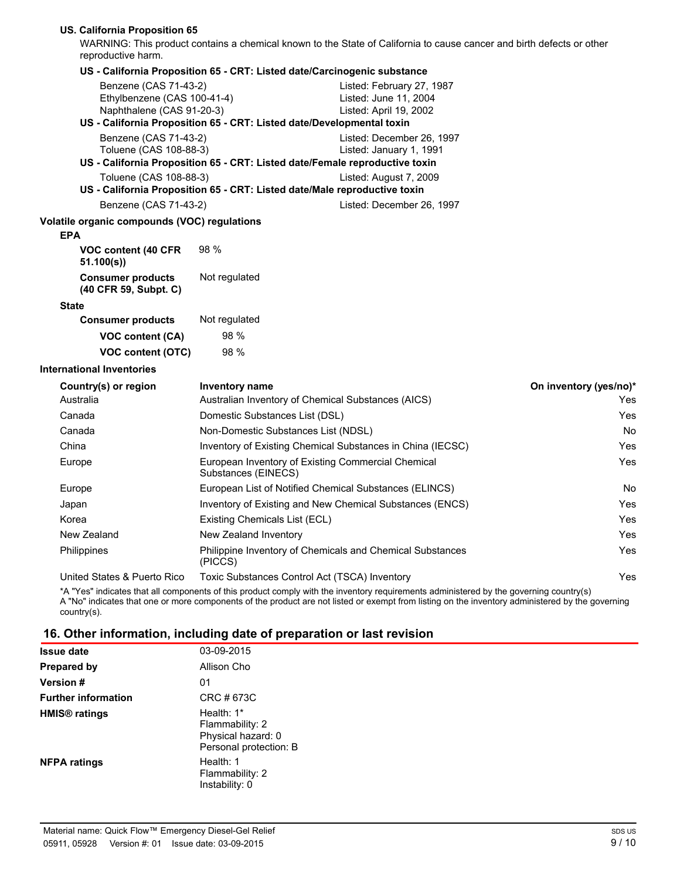#### **US. California Proposition 65**

WARNING: This product contains a chemical known to the State of California to cause cancer and birth defects or other reproductive harm.

| reproductive narm.                                                                |                                                                                                                                     |                        |
|-----------------------------------------------------------------------------------|-------------------------------------------------------------------------------------------------------------------------------------|------------------------|
|                                                                                   | US - California Proposition 65 - CRT: Listed date/Carcinogenic substance                                                            |                        |
| Benzene (CAS 71-43-2)<br>Ethylbenzene (CAS 100-41-4)<br>Naphthalene (CAS 91-20-3) | Listed: February 27, 1987<br>Listed: June 11, 2004<br>Listed: April 19, 2002                                                        |                        |
|                                                                                   | US - California Proposition 65 - CRT: Listed date/Developmental toxin                                                               |                        |
| Benzene (CAS 71-43-2)<br>Toluene (CAS 108-88-3)                                   | Listed: December 26, 1997<br>Listed: January 1, 1991<br>US - California Proposition 65 - CRT: Listed date/Female reproductive toxin |                        |
| Toluene (CAS 108-88-3)                                                            | Listed: August 7, 2009<br>US - California Proposition 65 - CRT: Listed date/Male reproductive toxin                                 |                        |
| Benzene (CAS 71-43-2)                                                             | Listed: December 26, 1997                                                                                                           |                        |
| Volatile organic compounds (VOC) regulations<br><b>EPA</b>                        |                                                                                                                                     |                        |
| VOC content (40 CFR<br>51.100(s)                                                  | 98 %                                                                                                                                |                        |
| <b>Consumer products</b><br>(40 CFR 59, Subpt. C)                                 | Not regulated                                                                                                                       |                        |
| <b>State</b>                                                                      |                                                                                                                                     |                        |
| <b>Consumer products</b>                                                          | Not regulated                                                                                                                       |                        |
| VOC content (CA)                                                                  | 98 %                                                                                                                                |                        |
| VOC content (OTC)                                                                 | 98 %                                                                                                                                |                        |
| <b>International Inventories</b>                                                  |                                                                                                                                     |                        |
| Country(s) or region                                                              | Inventory name                                                                                                                      | On inventory (yes/no)* |
| Australia                                                                         | Australian Inventory of Chemical Substances (AICS)                                                                                  | Yes                    |
| Canada                                                                            | Domestic Substances List (DSL)                                                                                                      | Yes                    |
| Canada                                                                            | Non-Domestic Substances List (NDSL)                                                                                                 | No                     |
| China                                                                             | Inventory of Existing Chemical Substances in China (IECSC)                                                                          | Yes                    |
| Europe                                                                            | European Inventory of Existing Commercial Chemical<br>Substances (EINECS)                                                           | Yes                    |
| Europe                                                                            | European List of Notified Chemical Substances (ELINCS)                                                                              | No                     |
| Japan                                                                             | Inventory of Existing and New Chemical Substances (ENCS)                                                                            | Yes                    |
| Korea                                                                             | Existing Chemicals List (ECL)                                                                                                       | Yes                    |
| New Zealand                                                                       | New Zealand Inventory                                                                                                               | Yes                    |
| Philippines                                                                       | Philippine Inventory of Chemicals and Chemical Substances<br>(PICCS)                                                                | Yes                    |
| United States & Puerto Rico                                                       | Toxic Substances Control Act (TSCA) Inventory                                                                                       | Yes                    |

\*A "Yes" indicates that all components of this product comply with the inventory requirements administered by the governing country(s) A "No" indicates that one or more components of the product are not listed or exempt from listing on the inventory administered by the governing country(s).

### **16. Other information, including date of preparation or last revision**

| <b>Issue date</b>               | 03-09-2015                                                                      |
|---------------------------------|---------------------------------------------------------------------------------|
| Prepared by                     | Allison Cho                                                                     |
| <b>Version</b> #                | 01                                                                              |
| <b>Further information</b>      | CRC # 673C                                                                      |
| <b>HMIS<sup>®</sup></b> ratings | Health: $1*$<br>Flammability: 2<br>Physical hazard: 0<br>Personal protection: B |
| <b>NFPA ratings</b>             | Health: 1<br>Flammability: 2<br>Instability: 0                                  |